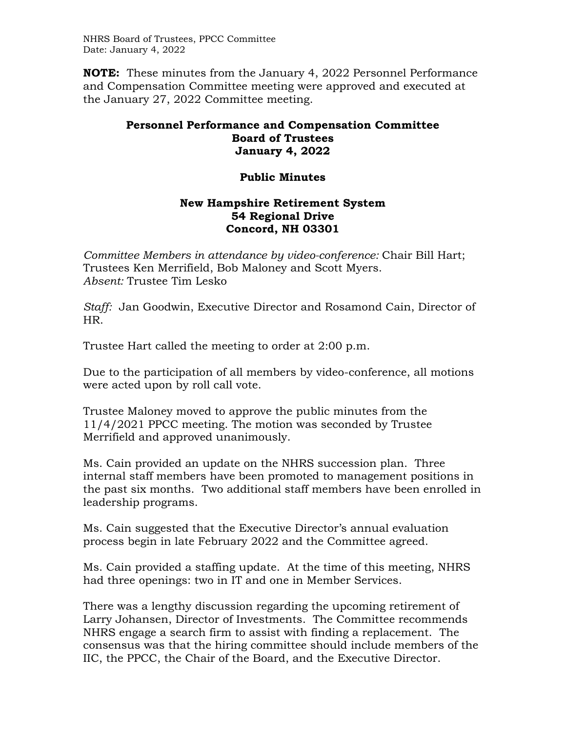NHRS Board of Trustees, PPCC Committee Date: January 4, 2022

**NOTE:** These minutes from the January 4, 2022 Personnel Performance and Compensation Committee meeting were approved and executed at the January 27, 2022 Committee meeting.

## **Personnel Performance and Compensation Committee Board of Trustees January 4, 2022**

## **Public Minutes**

## **New Hampshire Retirement System 54 Regional Drive Concord, NH 03301**

*Committee Members in attendance by video-conference:* Chair Bill Hart; Trustees Ken Merrifield, Bob Maloney and Scott Myers. *Absent:* Trustee Tim Lesko

*Staff:* Jan Goodwin, Executive Director and Rosamond Cain, Director of HR.

Trustee Hart called the meeting to order at 2:00 p.m.

Due to the participation of all members by video-conference, all motions were acted upon by roll call vote.

Trustee Maloney moved to approve the public minutes from the 11/4/2021 PPCC meeting. The motion was seconded by Trustee Merrifield and approved unanimously.

Ms. Cain provided an update on the NHRS succession plan. Three internal staff members have been promoted to management positions in the past six months. Two additional staff members have been enrolled in leadership programs.

Ms. Cain suggested that the Executive Director's annual evaluation process begin in late February 2022 and the Committee agreed.

Ms. Cain provided a staffing update. At the time of this meeting, NHRS had three openings: two in IT and one in Member Services.

There was a lengthy discussion regarding the upcoming retirement of Larry Johansen, Director of Investments. The Committee recommends NHRS engage a search firm to assist with finding a replacement. The consensus was that the hiring committee should include members of the IIC, the PPCC, the Chair of the Board, and the Executive Director.